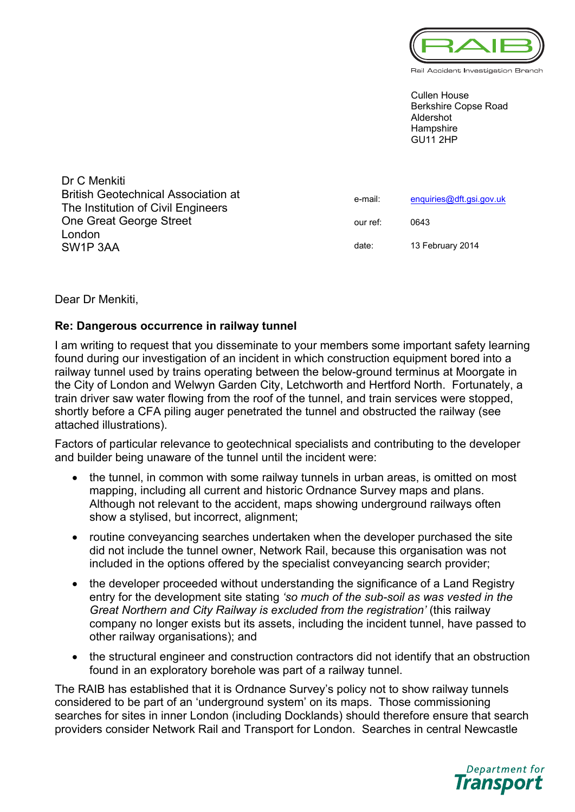

Rail Accident Investigation Branch

Cullen House Berkshire Copse Road Aldershot **Hampshire** GU11 2HP

| Dr C Menkiti                               |          |                          |
|--------------------------------------------|----------|--------------------------|
| <b>British Geotechnical Association at</b> | e-mail:  | enquiries@dft.gsi.gov.uk |
| The Institution of Civil Engineers         |          |                          |
| One Great George Street                    | our ref: | 0643                     |
| London                                     |          |                          |
| SW <sub>1</sub> P 3AA                      | date:    | 13 February 2014         |

Dear Dr Menkiti,

## **Re: Dangerous occurrence in railway tunnel**

I am writing to request that you disseminate to your members some important safety learning found during our investigation of an incident in which construction equipment bored into a railway tunnel used by trains operating between the below-ground terminus at Moorgate in the City of London and Welwyn Garden City, Letchworth and Hertford North. Fortunately, a train driver saw water flowing from the roof of the tunnel, and train services were stopped, shortly before a CFA piling auger penetrated the tunnel and obstructed the railway (see attached illustrations).

Factors of particular relevance to geotechnical specialists and contributing to the developer and builder being unaware of the tunnel until the incident were:

- the tunnel, in common with some railway tunnels in urban areas, is omitted on most mapping, including all current and historic Ordnance Survey maps and plans. Although not relevant to the accident, maps showing underground railways often show a stylised, but incorrect, alignment;
- routine conveyancing searches undertaken when the developer purchased the site did not include the tunnel owner, Network Rail, because this organisation was not included in the options offered by the specialist conveyancing search provider;
- the developer proceeded without understanding the significance of a Land Registry entry for the development site stating *'so much of the sub-soil as was vested in the Great Northern and City Railway is excluded from the registration'* (this railway company no longer exists but its assets, including the incident tunnel, have passed to other railway organisations); and
- the structural engineer and construction contractors did not identify that an obstruction found in an exploratory borehole was part of a railway tunnel.

The RAIB has established that it is Ordnance Survey's policy not to show railway tunnels considered to be part of an 'underground system' on its maps. Those commissioning searches for sites in inner London (including Docklands) should therefore ensure that search providers consider Network Rail and Transport for London. Searches in central Newcastle